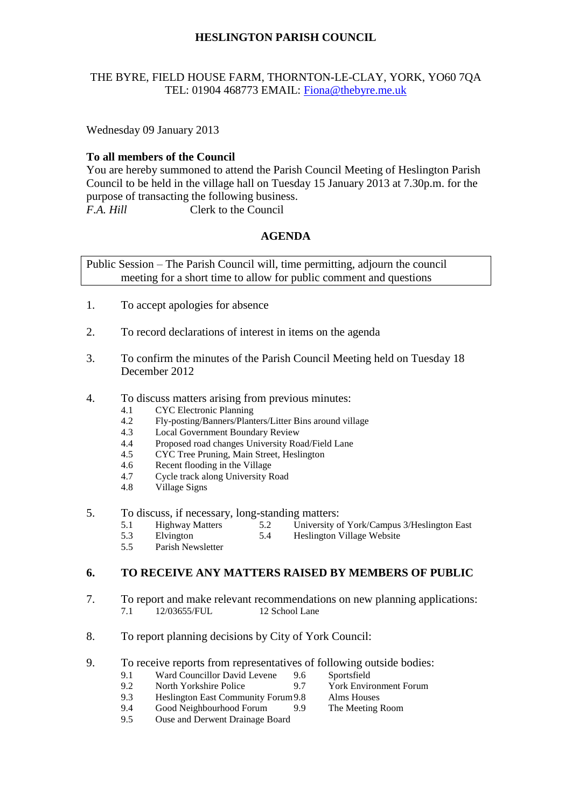# **HESLINGTON PARISH COUNCIL**

#### THE BYRE, FIELD HOUSE FARM, THORNTON-LE-CLAY, YORK, YO60 7QA TEL: 01904 468773 EMAIL: [Fiona@thebyre.me.uk](mailto:Fiona@thebyre.me.uk)

Wednesday 09 January 2013

#### **To all members of the Council**

You are hereby summoned to attend the Parish Council Meeting of Heslington Parish Council to be held in the village hall on Tuesday 15 January 2013 at 7.30p.m. for the purpose of transacting the following business. *F.A. Hill* Clerk to the Council

# **AGENDA**

Public Session – The Parish Council will, time permitting, adjourn the council meeting for a short time to allow for public comment and questions

- 1. To accept apologies for absence
- 2. To record declarations of interest in items on the agenda
- 3. To confirm the minutes of the Parish Council Meeting held on Tuesday 18 December 2012
- 4. To discuss matters arising from previous minutes:
	- 4.1 CYC Electronic Planning
	- 4.2 Fly-posting/Banners/Planters/Litter Bins around village
	- 4.3 Local Government Boundary Review
	- 4.4 Proposed road changes University Road/Field Lane
	- 4.5 CYC Tree Pruning, Main Street, Heslington
	- 4.6 Recent flooding in the Village
	- 4.7 Cycle track along University Road
	- 4.8 Village Signs
- 5. To discuss, if necessary, long-standing matters:
	- 5.1 Highway Matters 5.2 University of York/Campus 3/Heslington East
	- 5.3 Elvington 5.4 Heslington Village Website
	- 5.5 Parish Newsletter

# **6. TO RECEIVE ANY MATTERS RAISED BY MEMBERS OF PUBLIC**

- 7. To report and make relevant recommendations on new planning applications: 7.1 12/03655/FUL 12 School Lane
- 8. To report planning decisions by City of York Council:
- 9. To receive reports from representatives of following outside bodies:<br>9.1 Ward Councillor David Levene 9.6 Sportsfield
	- 9.1 Ward Councillor David Levene 9.6
		-
	- 9.2 North Yorkshire Police 9.7 York Environment Forum<br>9.3 Heslington East Community Forum 9.8 Alms Houses 9.3 Heslington East Community Forum9.8 Alms Houses
	- 9.4 Good Neighbourhood Forum 9.9 The Meeting Room
	- 9.5 Ouse and Derwent Drainage Board
- 
- -
-